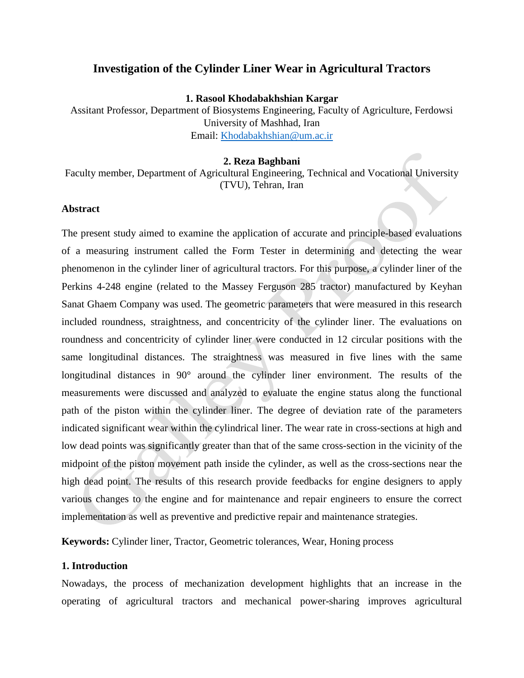## **Investigation of the Cylinder Liner Wear in Agricultural Tractors**

**1. Rasool Khodabakhshian Kargar**

Assitant Professor, Department of Biosystems Engineering, Faculty of Agriculture, Ferdowsi University of Mashhad, Iran Email: [Khodabakhshian@um.ac.ir](mailto:Khodabakhshian@um.ac.ir)

#### **2. Reza Baghbani**

Faculty member, Department of Agricultural Engineering, Technical and Vocational University (TVU), Tehran, Iran

#### **Abstract**

The present study aimed to examine the application of accurate and principle-based evaluations of a measuring instrument called the Form Tester in determining and detecting the wear phenomenon in the cylinder liner of agricultural tractors. For this purpose, a cylinder liner of the Perkins 4-248 engine (related to the Massey Ferguson 285 tractor) manufactured by Keyhan Sanat Ghaem Company was used. The geometric parameters that were measured in this research included roundness, straightness, and concentricity of the cylinder liner. The evaluations on roundness and concentricity of cylinder liner were conducted in 12 circular positions with the same longitudinal distances. The straightness was measured in five lines with the same longitudinal distances in 90° around the cylinder liner environment. The results of the measurements were discussed and analyzed to evaluate the engine status along the functional path of the piston within the cylinder liner. The degree of deviation rate of the parameters indicated significant wear within the cylindrical liner. The wear rate in cross-sections at high and low dead points was significantly greater than that of the same cross-section in the vicinity of the midpoint of the piston movement path inside the cylinder, as well as the cross-sections near the high dead point. The results of this research provide feedbacks for engine designers to apply various changes to the engine and for maintenance and repair engineers to ensure the correct implementation as well as preventive and predictive repair and maintenance strategies.

**Keywords:** Cylinder liner, Tractor, Geometric tolerances, Wear, Honing process

## **1. Introduction**

Nowadays, the process of mechanization development highlights that an increase in the operating of agricultural tractors and mechanical power-sharing improves agricultural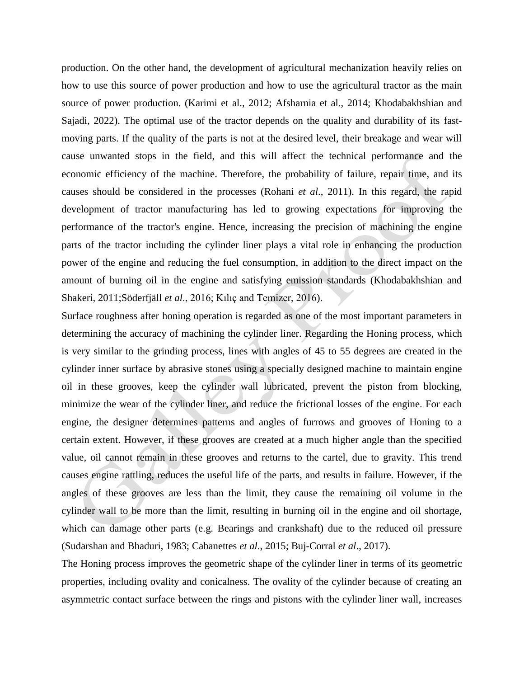production. On the other hand, the development of agricultural mechanization heavily relies on how to use this source of power production and how to use the agricultural tractor as the main source of power production. (Karimi et al., 2012; Afsharnia et al., 2014; Khodabakhshian and Sajadi, 2022). The optimal use of the tractor depends on the quality and durability of its fastmoving parts. If the quality of the parts is not at the desired level, their breakage and wear will cause unwanted stops in the field, and this will affect the technical performance and the economic efficiency of the machine. Therefore, the probability of failure, repair time, and its causes should be considered in the processes (Rohani *et al*., 2011). In this regard, the rapid development of tractor manufacturing has led to growing expectations for improving the performance of the tractor's engine. Hence, increasing the precision of machining the engine parts of the tractor including the cylinder liner plays a vital role in enhancing the production power of the engine and reducing the fuel consumption, in addition to the direct impact on the amount of burning oil in the engine and satisfying emission standards (Khodabakhshian and Shakeri, 2011;Söderfjäll *et al*., 2016; Kılıç and Temizer, 2016).

Surface roughness after honing operation is regarded as one of the most important parameters in determining the accuracy of machining the cylinder liner. Regarding the Honing process, which is very similar to the grinding process, lines with angles of 45 to 55 degrees are created in the cylinder inner surface by abrasive stones using a specially designed machine to maintain engine oil in these grooves, keep the cylinder wall lubricated, prevent the piston from blocking, minimize the wear of the cylinder liner, and reduce the frictional losses of the engine. For each engine, the designer determines patterns and angles of furrows and grooves of Honing to a certain extent. However, if these grooves are created at a much higher angle than the specified value, oil cannot remain in these grooves and returns to the cartel, due to gravity. This trend causes engine rattling, reduces the useful life of the parts, and results in failure. However, if the angles of these grooves are less than the limit, they cause the remaining oil volume in the cylinder wall to be more than the limit, resulting in burning oil in the engine and oil shortage, which can damage other parts (e.g. Bearings and crankshaft) due to the reduced oil pressure (Sudarshan and Bhaduri, 1983; Cabanettes *et al*., 2015; Buj-Corral *et al*., 2017).

The Honing process improves the geometric shape of the cylinder liner in terms of its geometric properties, including ovality and conicalness. The ovality of the cylinder because of creating an asymmetric contact surface between the rings and pistons with the cylinder liner wall, increases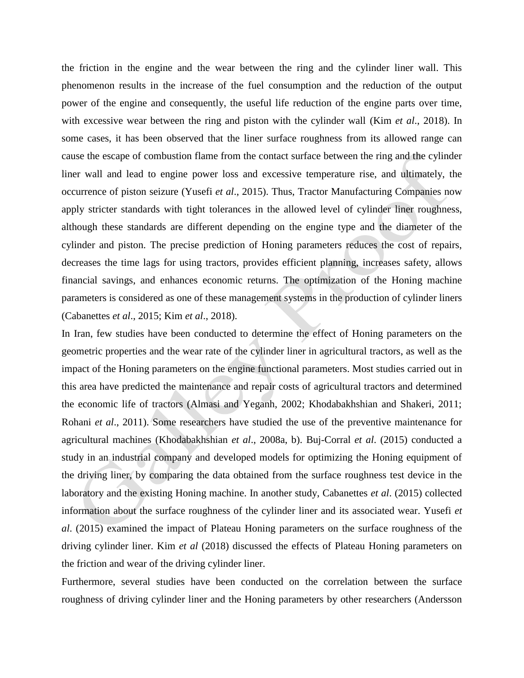the friction in the engine and the wear between the ring and the cylinder liner wall. This phenomenon results in the increase of the fuel consumption and the reduction of the output power of the engine and consequently, the useful life reduction of the engine parts over time, with excessive wear between the ring and piston with the cylinder wall (Kim *et al*., 2018). In some cases, it has been observed that the liner surface roughness from its allowed range can cause the escape of combustion flame from the contact surface between the ring and the cylinder liner wall and lead to engine power loss and excessive temperature rise, and ultimately, the occurrence of piston seizure (Yusefi *et al*., 2015). Thus, Tractor Manufacturing Companies now apply stricter standards with tight tolerances in the allowed level of cylinder liner roughness, although these standards are different depending on the engine type and the diameter of the cylinder and piston. The precise prediction of Honing parameters reduces the cost of repairs, decreases the time lags for using tractors, provides efficient planning, increases safety, allows financial savings, and enhances economic returns. The optimization of the Honing machine parameters is considered as one of these management systems in the production of cylinder liners (Cabanettes *et al*., 2015; Kim *et al*., 2018).

In Iran, few studies have been conducted to determine the effect of Honing parameters on the geometric properties and the wear rate of the cylinder liner in agricultural tractors, as well as the impact of the Honing parameters on the engine functional parameters. Most studies carried out in this area have predicted the maintenance and repair costs of agricultural tractors and determined the economic life of tractors (Almasi and Yeganh, 2002; Khodabakhshian and Shakeri, 2011; Rohani *et al*., 2011). Some researchers have studied the use of the preventive maintenance for agricultural machines (Khodabakhshian *et al*., 2008a, b). Buj-Corral *et al*. (2015) conducted a study in an industrial company and developed models for optimizing the Honing equipment of the driving liner, by comparing the data obtained from the surface roughness test device in the laboratory and the existing Honing machine. In another study, Cabanettes *et al*. (2015) collected information about the surface roughness of the cylinder liner and its associated wear. Yusefi *et al*. (2015) examined the impact of Plateau Honing parameters on the surface roughness of the driving cylinder liner. Kim *et al* (2018) discussed the effects of Plateau Honing parameters on the friction and wear of the driving cylinder liner.

Furthermore, several studies have been conducted on the correlation between the surface roughness of driving cylinder liner and the Honing parameters by other researchers (Andersson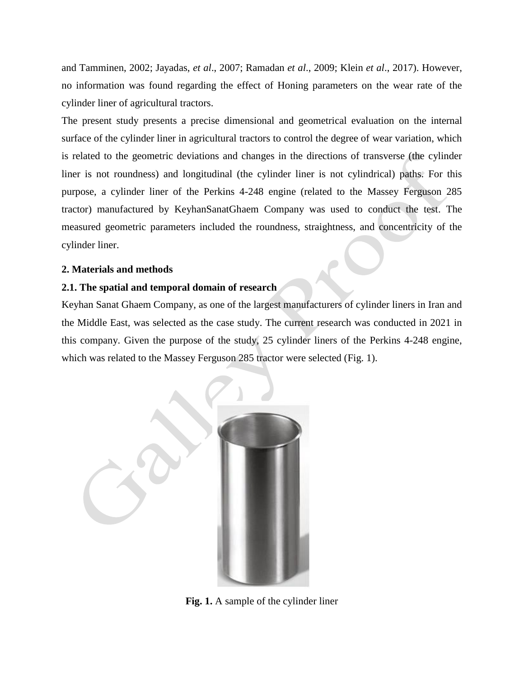and Tamminen, 2002; Jayadas, *et al*., 2007; Ramadan *et al*., 2009; Klein *et al*., 2017). However, no information was found regarding the effect of Honing parameters on the wear rate of the cylinder liner of agricultural tractors.

The present study presents a precise dimensional and geometrical evaluation on the internal surface of the cylinder liner in agricultural tractors to control the degree of wear variation, which is related to the geometric deviations and changes in the directions of transverse (the cylinder liner is not roundness) and longitudinal (the cylinder liner is not cylindrical) paths. For this purpose, a cylinder liner of the Perkins 4-248 engine (related to the Massey Ferguson 285 tractor) manufactured by KeyhanSanatGhaem Company was used to conduct the test. The measured geometric parameters included the roundness, straightness, and concentricity of the cylinder liner.

## **2. Materials and methods**

## **2.1. The spatial and temporal domain of research**

Keyhan Sanat Ghaem Company, as one of the largest manufacturers of cylinder liners in Iran and the Middle East, was selected as the case study. The current research was conducted in 2021 in this company. Given the purpose of the study, 25 cylinder liners of the Perkins 4-248 engine, which was related to the Massey Ferguson 285 tractor were selected (Fig. 1).



**Fig. 1.** A sample of the cylinder liner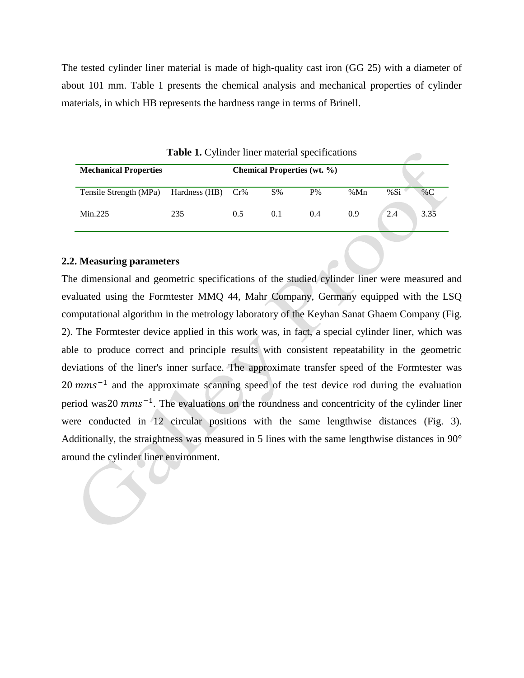The tested cylinder liner material is made of high-quality cast iron (GG 25) with a diameter of about 101 mm. Table 1 presents the chemical analysis and mechanical properties of cylinder materials, in which HB represents the hardness range in terms of Brinell.

| <b>Mechanical Properties</b>             |     | <b>Chemical Properties (wt. %)</b> |     |       |     |     |       |
|------------------------------------------|-----|------------------------------------|-----|-------|-----|-----|-------|
|                                          |     |                                    |     |       |     |     |       |
| Tensile Strength (MPa) Hardness (HB) Cr% |     |                                    | S%  | $P\%$ | %Mn | %Si | % $C$ |
| Min.225                                  | 235 | 0.5                                | 0.1 | 0.4   | 0.9 | 2.4 | 3.35  |

**Table 1.** Cylinder liner material specifications

## **2.2. Measuring parameters**

The dimensional and geometric specifications of the studied cylinder liner were measured and evaluated using the Formtester MMQ 44, Mahr Company, Germany equipped with the LSQ computational algorithm in the metrology laboratory of the Keyhan Sanat Ghaem Company (Fig. 2). The Formtester device applied in this work was, in fact, a special cylinder liner, which was able to produce correct and principle results with consistent repeatability in the geometric deviations of the liner's inner surface. The approximate transfer speed of the Formtester was  $20$  mms<sup> $-1$ </sup> and the approximate scanning speed of the test device rod during the evaluation period was 20  $mms^{-1}$ . The evaluations on the roundness and concentricity of the cylinder liner were conducted in 12 circular positions with the same lengthwise distances (Fig. 3). Additionally, the straightness was measured in 5 lines with the same lengthwise distances in 90° around the cylinder liner environment.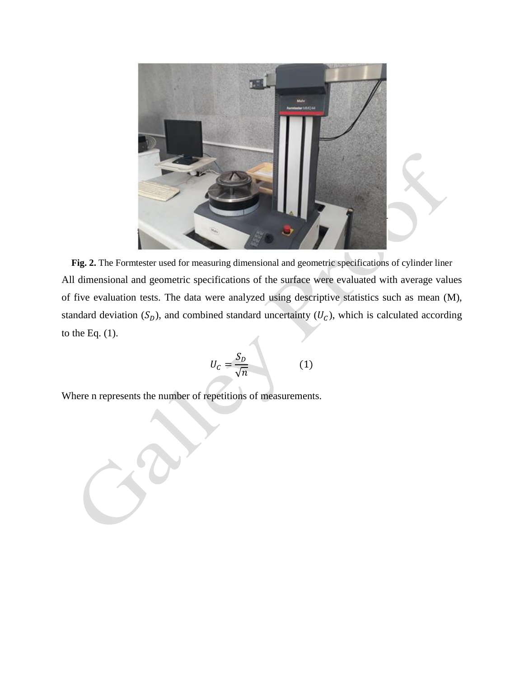

**Fig. 2.** The Formtester used for measuring dimensional and geometric specifications of cylinder liner All dimensional and geometric specifications of the surface were evaluated with average values of five evaluation tests. The data were analyzed using descriptive statistics such as mean (M), standard deviation  $(S_D)$ , and combined standard uncertainty  $(U_C)$ , which is calculated according to the Eq. (1).

$$
U_C = \frac{S_D}{\sqrt{n}}\tag{1}
$$

Where n represents the number of repetitions of measurements.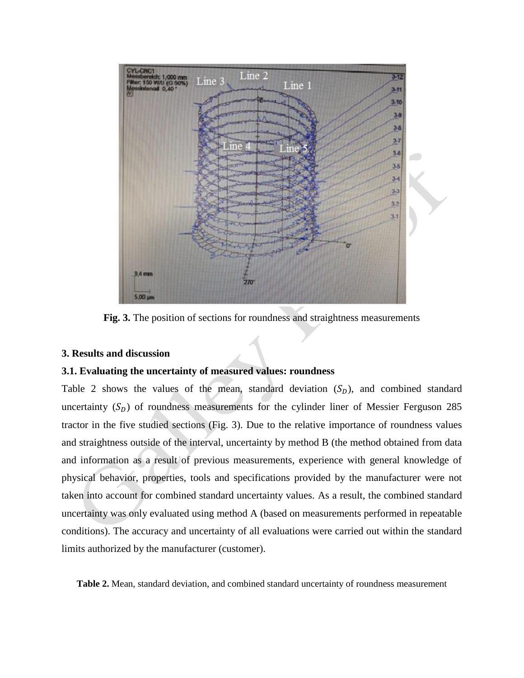

**Fig. 3.** The position of sections for roundness and straightness measurements

## **3. Results and discussion**

## **3.1. Evaluating the uncertainty of measured values: roundness**

Table 2 shows the values of the mean, standard deviation  $(S_D)$ , and combined standard uncertainty  $(S_D)$  of roundness measurements for the cylinder liner of Messier Ferguson 285 tractor in the five studied sections (Fig. 3). Due to the relative importance of roundness values and straightness outside of the interval, uncertainty by method B (the method obtained from data and information as a result of previous measurements, experience with general knowledge of physical behavior, properties, tools and specifications provided by the manufacturer were not taken into account for combined standard uncertainty values. As a result, the combined standard uncertainty was only evaluated using method A (based on measurements performed in repeatable conditions). The accuracy and uncertainty of all evaluations were carried out within the standard limits authorized by the manufacturer (customer).

**Table 2.** Mean, standard deviation, and combined standard uncertainty of roundness measurement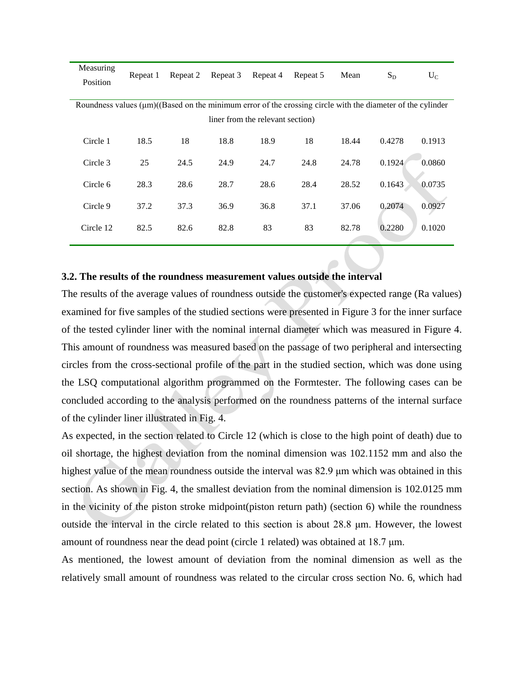| Measuring                                                                                                        | Repeat 1 | Repeat 2 | Repeat 3 | Repeat 4 | Repeat 5 | Mean  | $S_D$  | $U_C$  |  |  |  |
|------------------------------------------------------------------------------------------------------------------|----------|----------|----------|----------|----------|-------|--------|--------|--|--|--|
| Position                                                                                                         |          |          |          |          |          |       |        |        |  |  |  |
|                                                                                                                  |          |          |          |          |          |       |        |        |  |  |  |
| Roundness values $(\mu m)((Based on the minimum error of the crossing circle with the diameter of the cylinder)$ |          |          |          |          |          |       |        |        |  |  |  |
| liner from the relevant section)                                                                                 |          |          |          |          |          |       |        |        |  |  |  |
|                                                                                                                  |          |          |          |          |          |       |        |        |  |  |  |
| Circle 1                                                                                                         | 18.5     | 18       | 18.8     | 18.9     | 18       | 18.44 | 0.4278 | 0.1913 |  |  |  |
|                                                                                                                  |          |          |          |          |          |       |        |        |  |  |  |
| Circle 3                                                                                                         | 25       | 24.5     | 24.9     | 24.7     | 24.8     | 24.78 | 0.1924 | 0.0860 |  |  |  |
| Circle 6                                                                                                         |          |          |          |          |          |       |        |        |  |  |  |
|                                                                                                                  | 28.3     | 28.6     | 28.7     | 28.6     | 28.4     | 28.52 | 0.1643 | 0.0735 |  |  |  |
| Circle 9                                                                                                         | 37.2     | 37.3     | 36.9     | 36.8     | 37.1     | 37.06 | 0.2074 | 0.0927 |  |  |  |
|                                                                                                                  |          |          |          |          |          |       |        |        |  |  |  |
| Circle 12                                                                                                        | 82.5     | 82.6     | 82.8     | 83       | 83       | 82.78 | 0.2280 | 0.1020 |  |  |  |
|                                                                                                                  |          |          |          |          |          |       |        |        |  |  |  |

#### **3.2. The results of the roundness measurement values outside the interval**

The results of the average values of roundness outside the customer's expected range (Ra values) examined for five samples of the studied sections were presented in Figure 3 for the inner surface of the tested cylinder liner with the nominal internal diameter which was measured in Figure 4. This amount of roundness was measured based on the passage of two peripheral and intersecting circles from the cross-sectional profile of the part in the studied section, which was done using the LSQ computational algorithm programmed on the Formtester. The following cases can be concluded according to the analysis performed on the roundness patterns of the internal surface of the cylinder liner illustrated in Fig. 4.

As expected, in the section related to Circle 12 (which is close to the high point of death) due to oil shortage, the highest deviation from the nominal dimension was 102.1152 mm and also the highest value of the mean roundness outside the interval was 82.9 μm which was obtained in this section. As shown in Fig. 4, the smallest deviation from the nominal dimension is 102.0125 mm in the vicinity of the piston stroke midpoint(piston return path) (section 6) while the roundness outside the interval in the circle related to this section is about 28.8 μm. However, the lowest amount of roundness near the dead point (circle 1 related) was obtained at  $18.7 \mu m$ .

As mentioned, the lowest amount of deviation from the nominal dimension as well as the relatively small amount of roundness was related to the circular cross section No. 6, which had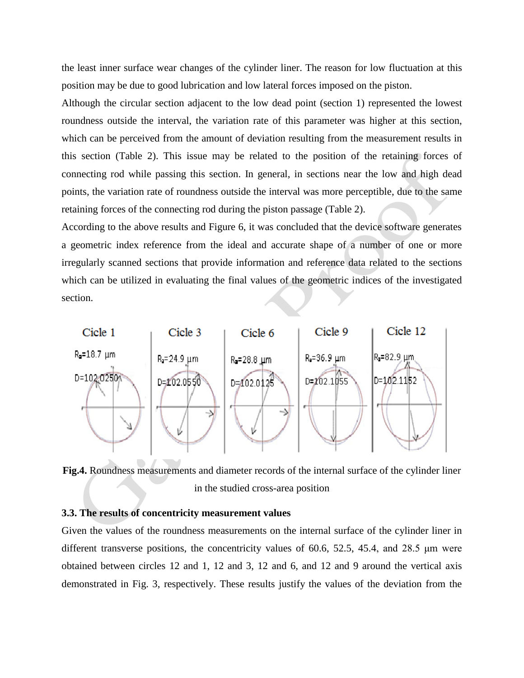the least inner surface wear changes of the cylinder liner. The reason for low fluctuation at this position may be due to good lubrication and low lateral forces imposed on the piston.

Although the circular section adjacent to the low dead point (section 1) represented the lowest roundness outside the interval, the variation rate of this parameter was higher at this section, which can be perceived from the amount of deviation resulting from the measurement results in this section (Table 2). This issue may be related to the position of the retaining forces of connecting rod while passing this section. In general, in sections near the low and high dead points, the variation rate of roundness outside the interval was more perceptible, due to the same retaining forces of the connecting rod during the piston passage (Table 2).

According to the above results and Figure 6, it was concluded that the device software generates a geometric index reference from the ideal and accurate shape of a number of one or more irregularly scanned sections that provide information and reference data related to the sections which can be utilized in evaluating the final values of the geometric indices of the investigated section.



**Fig.4.** Roundness measurements and diameter records of the internal surface of the cylinder liner in the studied cross-area position

## **3.3. The results of concentricity measurement values**

Given the values of the roundness measurements on the internal surface of the cylinder liner in different transverse positions, the concentricity values of 60.6, 52.5, 45.4, and 28.5 μm were obtained between circles 12 and 1, 12 and 3, 12 and 6, and 12 and 9 around the vertical axis demonstrated in Fig. 3, respectively. These results justify the values of the deviation from the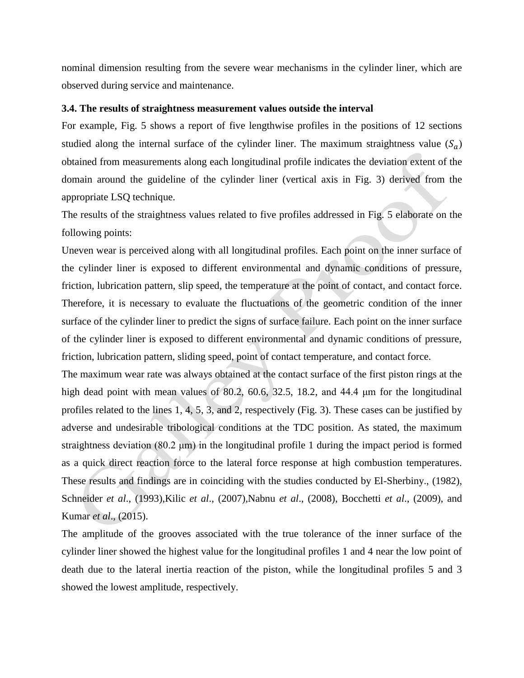nominal dimension resulting from the severe wear mechanisms in the cylinder liner, which are observed during service and maintenance.

#### **3.4. The results of straightness measurement values outside the interval**

For example, Fig. 5 shows a report of five lengthwise profiles in the positions of 12 sections studied along the internal surface of the cylinder liner. The maximum straightness value  $(S_q)$ obtained from measurements along each longitudinal profile indicates the deviation extent of the domain around the guideline of the cylinder liner (vertical axis in Fig. 3) derived from the appropriate LSQ technique.

The results of the straightness values related to five profiles addressed in Fig. 5 elaborate on the following points:

Uneven wear is perceived along with all longitudinal profiles. Each point on the inner surface of the cylinder liner is exposed to different environmental and dynamic conditions of pressure, friction, lubrication pattern, slip speed, the temperature at the point of contact, and contact force. Therefore, it is necessary to evaluate the fluctuations of the geometric condition of the inner surface of the cylinder liner to predict the signs of surface failure. Each point on the inner surface of the cylinder liner is exposed to different environmental and dynamic conditions of pressure, friction, lubrication pattern, sliding speed, point of contact temperature, and contact force.

The maximum wear rate was always obtained at the contact surface of the first piston rings at the high dead point with mean values of 80.2, 60.6, 32.5, 18.2, and 44.4 μm for the longitudinal profiles related to the lines 1, 4, 5, 3, and 2, respectively (Fig. 3). These cases can be justified by adverse and undesirable tribological conditions at the TDC position. As stated, the maximum straightness deviation (80.2 μm) in the longitudinal profile 1 during the impact period is formed as a quick direct reaction force to the lateral force response at high combustion temperatures. These results and findings are in coinciding with the studies conducted by El-Sherbiny., (1982), Schneider *et al*., (1993),Kilic *et al*., (2007),Nabnu *et al*., (2008), Bocchetti *et al*., (2009), and Kumar *et al*., (2015).

The amplitude of the grooves associated with the true tolerance of the inner surface of the cylinder liner showed the highest value for the longitudinal profiles 1 and 4 near the low point of death due to the lateral inertia reaction of the piston, while the longitudinal profiles 5 and 3 showed the lowest amplitude, respectively.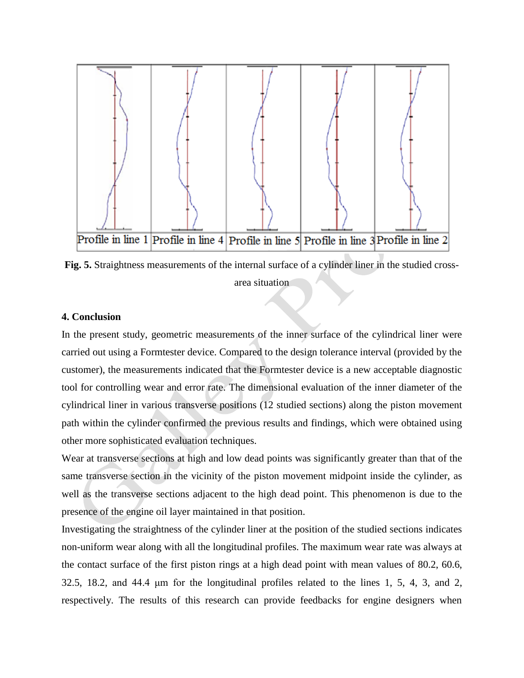

**Fig. 5.** Straightness measurements of the internal surface of a cylinder liner in the studied crossarea situation

## **4. Conclusion**

In the present study, geometric measurements of the inner surface of the cylindrical liner were carried out using a Formtester device. Compared to the design tolerance interval (provided by the customer), the measurements indicated that the Formtester device is a new acceptable diagnostic tool for controlling wear and error rate. The dimensional evaluation of the inner diameter of the cylindrical liner in various transverse positions (12 studied sections) along the piston movement path within the cylinder confirmed the previous results and findings, which were obtained using other more sophisticated evaluation techniques.

Wear at transverse sections at high and low dead points was significantly greater than that of the same transverse section in the vicinity of the piston movement midpoint inside the cylinder, as well as the transverse sections adjacent to the high dead point. This phenomenon is due to the presence of the engine oil layer maintained in that position.

Investigating the straightness of the cylinder liner at the position of the studied sections indicates non-uniform wear along with all the longitudinal profiles. The maximum wear rate was always at the contact surface of the first piston rings at a high dead point with mean values of 80.2, 60.6, 32.5, 18.2, and 44.4 μm for the longitudinal profiles related to the lines 1, 5, 4, 3, and 2, respectively. The results of this research can provide feedbacks for engine designers when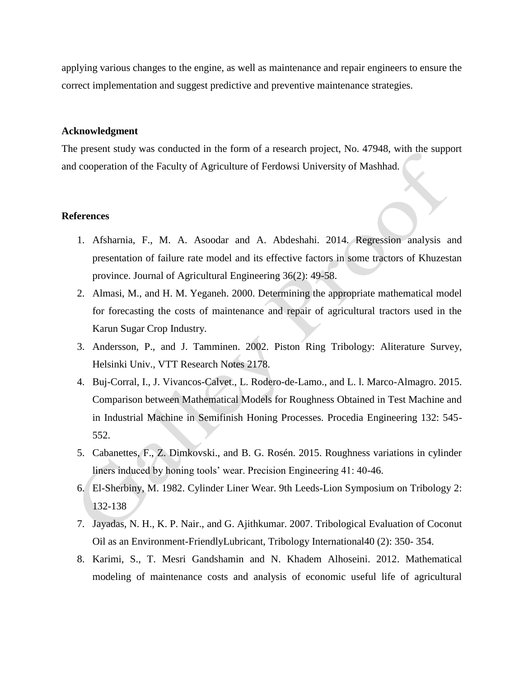applying various changes to the engine, as well as maintenance and repair engineers to ensure the correct implementation and suggest predictive and preventive maintenance strategies.

#### **Acknowledgment**

The present study was conducted in the form of a research project, No. 47948, with the support and cooperation of the Faculty of Agriculture of Ferdowsi University of Mashhad.

## **References**

- 1. Afsharnia, F., M. A. Asoodar and A. Abdeshahi. 2014. Regression analysis and presentation of failure rate model and its effective factors in some tractors of Khuzestan province. Journal of Agricultural Engineering 36(2): 49-58.
- 2. Almasi, M., and H. M. Yeganeh. 2000. Determining the appropriate mathematical model for forecasting the costs of maintenance and repair of agricultural tractors used in the Karun Sugar Crop Industry.
- 3. Andersson, P., and J. Tamminen. 2002. Piston Ring Tribology: Aliterature Survey, Helsinki Univ., VTT Research Notes 2178.
- 4. Buj-Corral, I., J. Vivancos-Calvet., L. Rodero-de-Lamo., and L. l. Marco-Almagro. 2015. Comparison between Mathematical Models for Roughness Obtained in Test Machine and in Industrial Machine in Semifinish Honing Processes. Procedia Engineering 132: 545- 552.
- 5. Cabanettes, F., Z. Dimkovski., and B. G. Rosén. 2015. Roughness variations in cylinder liners induced by honing tools' wear. Precision Engineering 41: 40-46.
- 6. El-Sherbiny, M. 1982. Cylinder Liner Wear. 9th Leeds-Lion Symposium on Tribology 2: 132-138
- 7. Jayadas, N. H., K. P. Nair., and G. Ajithkumar. 2007. Tribological Evaluation of Coconut Oil as an Environment-FriendlyLubricant, Tribology International40 (2): 350- 354.
- 8. Karimi, S., T. Mesri Gandshamin and N. Khadem Alhoseini. 2012. Mathematical modeling of maintenance costs and analysis of economic useful life of agricultural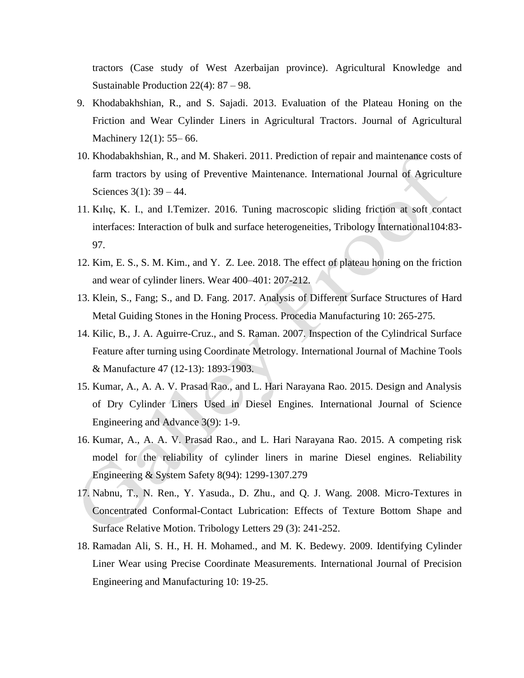tractors (Case study of West Azerbaijan province). Agricultural Knowledge and Sustainable Production 22(4): 87 – 98.

- 9. Khodabakhshian, R., and S. Sajadi. 2013. Evaluation of the Plateau Honing on the Friction and Wear Cylinder Liners in Agricultural Tractors. Journal of Agricultural Machinery 12(1): 55–66.
- 10. Khodabakhshian, R., and M. Shakeri. 2011. Prediction of repair and maintenance costs of farm tractors by using of Preventive Maintenance. International Journal of Agriculture Sciences 3(1): 39 – 44.
- 11. Kılıç, K. I., and I.Temizer. 2016. Tuning macroscopic sliding friction at soft contact interfaces: Interaction of bulk and surface heterogeneities, Tribology International104:83- 97.
- 12. Kim, E. S., S. M. Kim., and Y. Z. Lee. 2018. The effect of plateau honing on the friction and wear of cylinder liners. Wear 400–401: 207-212.
- 13. Klein, S., Fang; S., and D. Fang. 2017. Analysis of Different Surface Structures of Hard Metal Guiding Stones in the Honing Process. Procedia Manufacturing 10: 265-275.
- 14. Kilic, B., J. A. Aguirre-Cruz., and S. Raman. 2007. Inspection of the Cylindrical Surface Feature after turning using Coordinate Metrology. International Journal of Machine Tools & Manufacture 47 (12-13): 1893-1903.
- 15. Kumar, A., A. A. V. Prasad Rao., and L. Hari Narayana Rao. 2015. Design and Analysis of Dry Cylinder Liners Used in Diesel Engines. International Journal of Science Engineering and Advance 3(9): 1-9.
- 16. Kumar, A., A. A. V. Prasad Rao., and L. Hari Narayana Rao. 2015. A competing risk model for the reliability of cylinder liners in marine Diesel engines. Reliability Engineering & System Safety 8(94): 1299-1307.279
- 17. Nabnu, T., N. Ren., Y. Yasuda., D. Zhu., and Q. J. Wang. 2008. Micro-Textures in Concentrated Conformal-Contact Lubrication: Effects of Texture Bottom Shape and Surface Relative Motion. Tribology Letters 29 (3): 241-252.
- 18. Ramadan Ali, S. H., H. H. Mohamed., and M. K. Bedewy. 2009. Identifying Cylinder Liner Wear using Precise Coordinate Measurements. International Journal of Precision Engineering and Manufacturing 10: 19-25.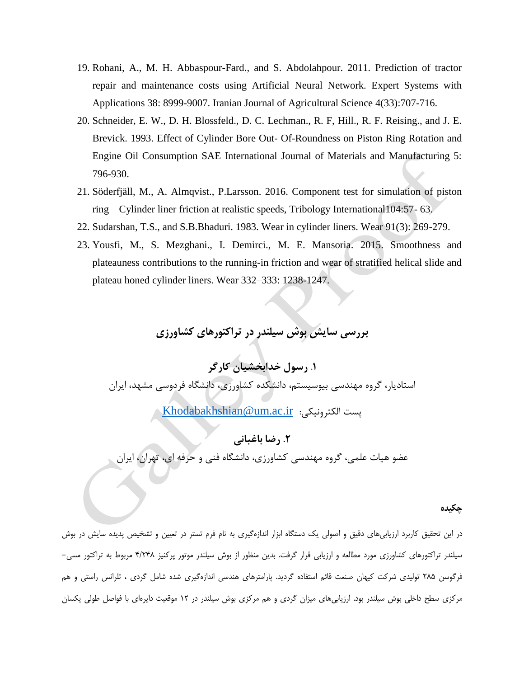- 19. Rohani, A., M. H. Abbaspour-Fard., and S. Abdolahpour. 2011. Prediction of tractor repair and maintenance costs using Artificial Neural Network. Expert Systems with Applications 38: 8999-9007. Iranian Journal of Agricultural Science 4(33):707-716.
- 20. Schneider, E. W., D. H. Blossfeld., D. C. Lechman., R. F, Hill., R. F. Reising., and J. E. Brevick. 1993. Effect of Cylinder Bore Out- Of-Roundness on Piston Ring Rotation and Engine Oil Consumption SAE International Journal of Materials and Manufacturing 5: 796-930.
- 21. Söderfjäll, M., A. Almqvist., P.Larsson. 2016. Component test for simulation of piston ring – Cylinder liner friction at realistic speeds, Tribology International104:57- 63.
- 22. Sudarshan, T.S., and S.B.Bhaduri. 1983. Wear in cylinder liners. Wear 91(3): 269-279.
- 23. Yousfi, M., S. Mezghani., I. Demirci., M. E. Mansoria. 2015. Smoothness and plateauness contributions to the running-in friction and wear of stratified helical slide and plateau honed cylinder liners. Wear 332–333: 1238-1247.

# **بررسی سایش بوش سیلندر در تراکتورهای کشاورزی**

.**1 رسول خدابخشيان كارگر** استادیار، گروه مهندسی بیوسیستم، دانشکده کشاورزی، دانشگاه فردوسی مشهد، ایران

[Khodabakhshian@um.ac.ir](mailto:Khodabakhshian@um.ac.ir) :پست الکترونیکی ب

## **.2 رضا باغبانی**

عضو هیات علمی، گروه مهندسی کشاورزی، دانشگاه فنی و حرفه ای، تهران، ایران

#### **چکیده**

در این تحقیق کاربرد ارزیابیهای دقیق و اصولی یک دستگاه ابزار اندازهگیری به نام فرم تستر در تعیین و تشخیص پدیده سایش در بوش سیلندر تراکتورهای کشاورزی مورد مطالعه و ارزیابی قرار گرفت. بدین منظور از بوش سیلندر موتور پرکنیز 4/842 مربوط به تراکتور مسی- فرگوسن 822 تولیدی شرکت کیهان صنعت قائم استفاده گردید. پارامترهای هندسی اندازهگیری شده شامل گردی ، تلرانس راستی و هم مرکزی سطح داخلی بوش سیلندر بود. ارزیابیهای میزان گردی و هم مرکزی بوش سیلندر در 28 موقعیت دایرهای با فواصل طولی یکسان